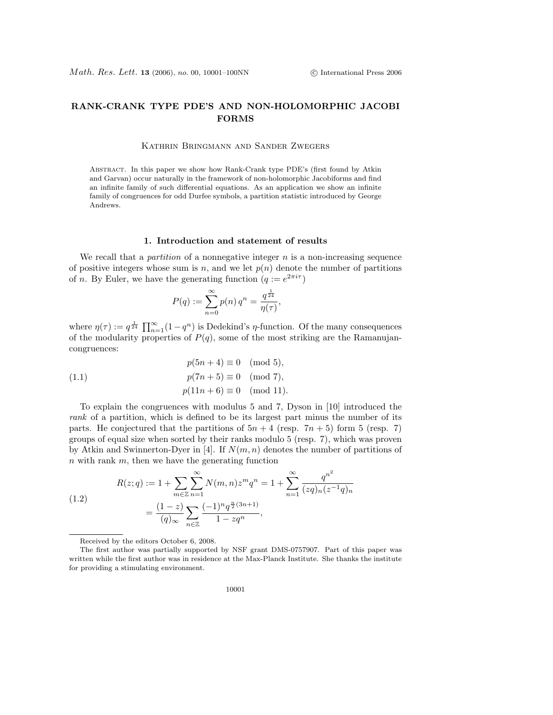# RANK-CRANK TYPE PDE'S AND NON-HOLOMORPHIC JACOBI FORMS

#### Kathrin Bringmann and Sander Zwegers

Abstract. In this paper we show how Rank-Crank type PDE's (first found by Atkin and Garvan) occur naturally in the framework of non-holomorphic Jacobiforms and find an infinite family of such differential equations. As an application we show an infinite family of congruences for odd Durfee symbols, a partition statistic introduced by George Andrews.

#### 1. Introduction and statement of results

We recall that a *partition* of a nonnegative integer  $n$  is a non-increasing sequence of positive integers whose sum is n, and we let  $p(n)$  denote the number of partitions of *n*. By Euler, we have the generating function  $(q := e^{2\pi i \tau})$ 

$$
P(q) := \sum_{n=0}^{\infty} p(n) q^n = \frac{q^{\frac{1}{24}}}{\eta(\tau)},
$$

where  $\eta(\tau) := q^{\frac{1}{24}} \prod_{n=1}^{\infty} (1 - q^n)$  is Dedekind's  $\eta$ -function. Of the many consequences of the modularity properties of  $P(q)$ , some of the most striking are the Ramanujancongruences:

(1.1) 
$$
p(5n + 4) \equiv 0 \pmod{5}, p(7n + 5) \equiv 0 \pmod{7}, p(11n + 6) \equiv 0 \pmod{11}.
$$

To explain the congruences with modulus 5 and 7, Dyson in [10] introduced the rank of a partition, which is defined to be its largest part minus the number of its parts. He conjectured that the partitions of  $5n + 4$  (resp.  $7n + 5$ ) form 5 (resp. 7) groups of equal size when sorted by their ranks modulo 5 (resp. 7), which was proven by Atkin and Swinnerton-Dyer in [4]. If  $N(m, n)$  denotes the number of partitions of  $n$  with rank  $m$ , then we have the generating function

(1.2)  

$$
R(z;q) := 1 + \sum_{m \in \mathbb{Z}} \sum_{n=1}^{\infty} N(m,n) z^m q^n = 1 + \sum_{n=1}^{\infty} \frac{q^{n^2}}{(zq)_n (z^{-1}q)_n}
$$

$$
= \frac{(1-z)}{(q)_{\infty}} \sum_{n \in \mathbb{Z}} \frac{(-1)^n q^{\frac{n}{2}(3n+1)}}{1 - zq^n},
$$

Received by the editors October 6, 2008.

The first author was partially supported by NSF grant DMS-0757907. Part of this paper was written while the first author was in residence at the Max-Planck Institute. She thanks the institute for providing a stimulating environment.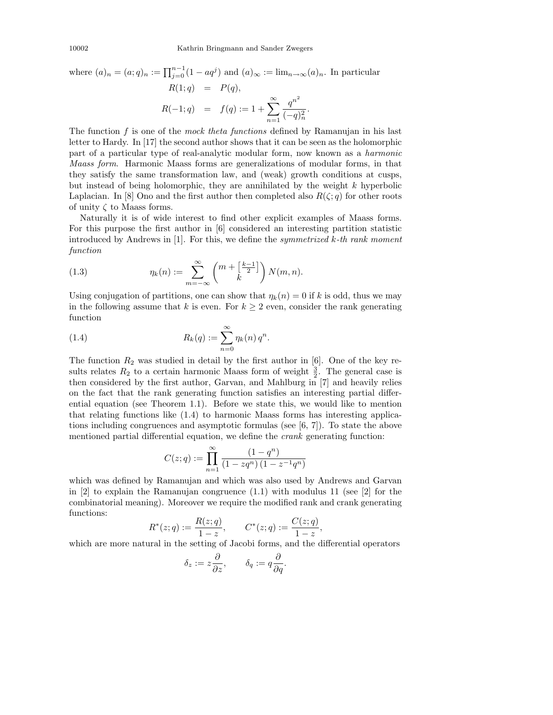where 
$$
(a)_n = (a; q)_n := \prod_{j=0}^{n-1} (1 - aq^j)
$$
 and  $(a)_{\infty} := \lim_{n \to \infty} (a)_n$ . In particular  
\n
$$
R(1; q) = P(q),
$$
\n
$$
R(-1; q) = f(q) := 1 + \sum_{n=1}^{\infty} \frac{q^{n^2}}{(-q)_n^2}.
$$

The function f is one of the mock theta functions defined by Ramanujan in his last letter to Hardy. In [17] the second author shows that it can be seen as the holomorphic part of a particular type of real-analytic modular form, now known as a harmonic Maass form. Harmonic Maass forms are generalizations of modular forms, in that they satisfy the same transformation law, and (weak) growth conditions at cusps, but instead of being holomorphic, they are annihilated by the weight k hyperbolic Laplacian. In [8] Ono and the first author then completed also  $R(\zeta; q)$  for other roots of unity  $\zeta$  to Maass forms.

Naturally it is of wide interest to find other explicit examples of Maass forms. For this purpose the first author in [6] considered an interesting partition statistic introduced by Andrews in  $[1]$ . For this, we define the *symmetrized k-th rank moment* function

(1.3) 
$$
\eta_k(n) := \sum_{m=-\infty}^{\infty} \binom{m + \left[\frac{k-1}{2}\right]}{k} N(m,n).
$$

Using conjugation of partitions, one can show that  $\eta_k(n) = 0$  if k is odd, thus we may in the following assume that k is even. For  $k \geq 2$  even, consider the rank generating function

(1.4) 
$$
R_k(q) := \sum_{n=0}^{\infty} \eta_k(n) q^n.
$$

The function  $R_2$  was studied in detail by the first author in [6]. One of the key results relates  $R_2$  to a certain harmonic Maass form of weight  $\frac{3}{2}$ . The general case is then considered by the first author, Garvan, and Mahlburg in [7] and heavily relies on the fact that the rank generating function satisfies an interesting partial differential equation (see Theorem 1.1). Before we state this, we would like to mention that relating functions like (1.4) to harmonic Maass forms has interesting applications including congruences and asymptotic formulas (see [6, 7]). To state the above mentioned partial differential equation, we define the crank generating function:

$$
C(z;q):=\prod_{n=1}^{\infty}\frac{\left(1-q^n\right)}{\left(1-zq^n\right)\left(1-z^{-1}q^n\right)}
$$

which was defined by Ramanujan and which was also used by Andrews and Garvan in  $[2]$  to explain the Ramanujan congruence  $(1.1)$  with modulus 11 (see  $[2]$  for the combinatorial meaning). Moreover we require the modified rank and crank generating functions:

$$
R^*(z;q) := \frac{R(z;q)}{1-z}, \qquad C^*(z;q) := \frac{C(z;q)}{1-z},
$$

which are more natural in the setting of Jacobi forms, and the differential operators

$$
\delta_z:=z\frac{\partial}{\partial z},\qquad \delta_q:=q\frac{\partial}{\partial q}.
$$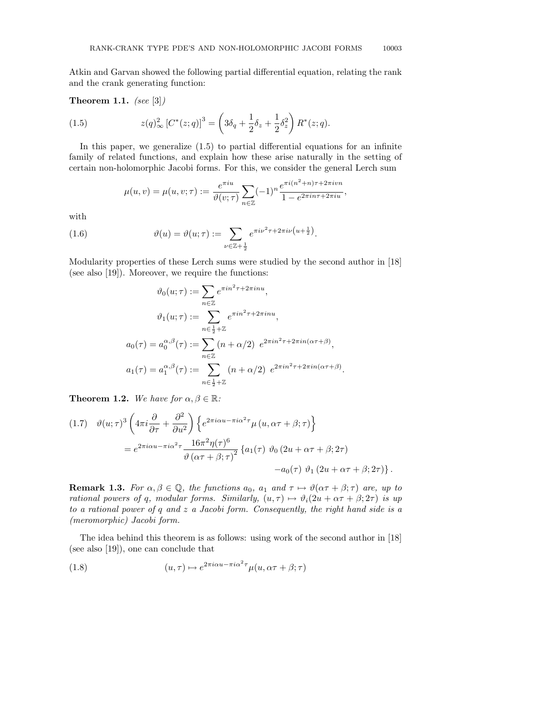Atkin and Garvan showed the following partial differential equation, relating the rank and the crank generating function:

Theorem 1.1. (see  $[3]$ )

(1.5) 
$$
z(q)_{\infty}^2 [C^*(z;q)]^3 = \left(3\delta_q + \frac{1}{2}\delta_z + \frac{1}{2}\delta_z^2\right) R^*(z;q).
$$

In this paper, we generalize (1.5) to partial differential equations for an infinite family of related functions, and explain how these arise naturally in the setting of certain non-holomorphic Jacobi forms. For this, we consider the general Lerch sum

$$
\mu(u, v) = \mu(u, v; \tau) := \frac{e^{\pi i u}}{\vartheta(v; \tau)} \sum_{n \in \mathbb{Z}} (-1)^n \frac{e^{\pi i (n^2 + n)\tau + 2\pi i v n}}{1 - e^{2\pi i n \tau + 2\pi i u}},
$$

with

(1.6) 
$$
\vartheta(u) = \vartheta(u; \tau) := \sum_{\nu \in \mathbb{Z} + \frac{1}{2}} e^{\pi i \nu^2 \tau + 2\pi i \nu (u + \frac{1}{2})}.
$$

Modularity properties of these Lerch sums were studied by the second author in [18] (see also [19]). Moreover, we require the functions:

$$
\vartheta_0(u;\tau) := \sum_{n\in\mathbb{Z}} e^{\pi i n^2 \tau + 2\pi i n u},
$$

$$
\vartheta_1(u;\tau) := \sum_{n\in\frac{1}{2}+\mathbb{Z}} e^{\pi i n^2 \tau + 2\pi i n u},
$$

$$
a_0(\tau) = a_0^{\alpha,\beta}(\tau) := \sum_{n\in\mathbb{Z}} (n+\alpha/2) e^{2\pi i n^2 \tau + 2\pi i n(\alpha\tau+\beta)},
$$

$$
a_1(\tau) = a_1^{\alpha,\beta}(\tau) := \sum_{n\in\frac{1}{2}+\mathbb{Z}} (n+\alpha/2) e^{2\pi i n^2 \tau + 2\pi i n(\alpha\tau+\beta)}.
$$

**Theorem 1.2.** We have for  $\alpha, \beta \in \mathbb{R}$ :

$$
(1.7) \quad \vartheta(u;\tau)^3 \left(4\pi i \frac{\partial}{\partial \tau} + \frac{\partial^2}{\partial u^2}\right) \left\{ e^{2\pi i \alpha u - \pi i \alpha^2 \tau} \mu(u, \alpha \tau + \beta; \tau) \right\}
$$

$$
= e^{2\pi i \alpha u - \pi i \alpha^2 \tau} \frac{16\pi^2 \eta(\tau)^6}{\vartheta(\alpha \tau + \beta; \tau)^2} \left\{ a_1(\tau) \vartheta_0(2u + \alpha \tau + \beta; 2\tau) - a_0(\tau) \vartheta_1(2u + \alpha \tau + \beta; 2\tau) \right\}.
$$

**Remark 1.3.** For  $\alpha, \beta \in \mathbb{Q}$ , the functions  $a_0$ ,  $a_1$  and  $\tau \mapsto \vartheta(\alpha \tau + \beta; \tau)$  are, up to rational powers of q, modular forms. Similarly,  $(u, \tau) \mapsto \vartheta_i(2u + \alpha \tau + \beta; 2\tau)$  is up to a rational power of  $q$  and  $z$  a Jacobi form. Consequently, the right hand side is a (meromorphic) Jacobi form.

The idea behind this theorem is as follows: using work of the second author in [18] (see also [19]), one can conclude that

(1.8) 
$$
(u,\tau) \mapsto e^{2\pi i \alpha u - \pi i \alpha^2 \tau} \mu(u,\alpha \tau + \beta; \tau)
$$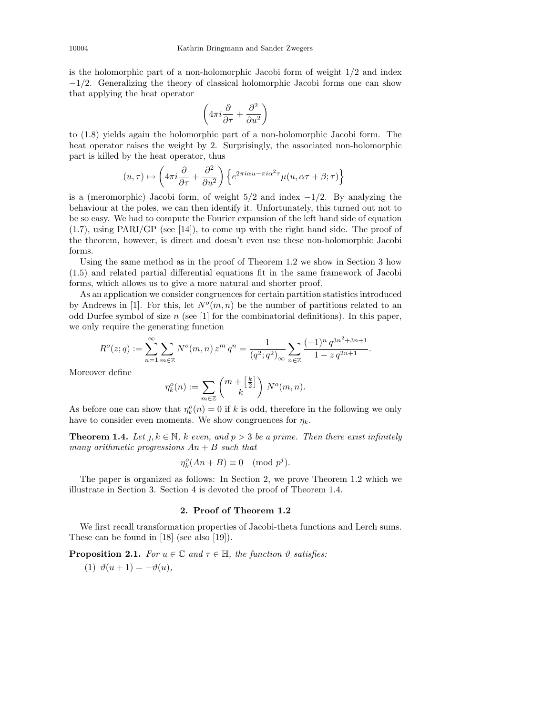is the holomorphic part of a non-holomorphic Jacobi form of weight  $1/2$  and index −1/2. Generalizing the theory of classical holomorphic Jacobi forms one can show that applying the heat operator

$$
\left(4\pi i\frac{\partial}{\partial \tau}+\frac{\partial^2}{\partial u^2}\right)
$$

to (1.8) yields again the holomorphic part of a non-holomorphic Jacobi form. The heat operator raises the weight by 2. Surprisingly, the associated non-holomorphic part is killed by the heat operator, thus

$$
(u,\tau)\mapsto \left(4\pi i \frac{\partial}{\partial \tau}+\frac{\partial^2}{\partial u^2}\right)\left\{e^{2\pi i \alpha u-\pi i \alpha^2\tau}\mu(u,\alpha \tau+\beta;\tau)\right\}
$$

is a (meromorphic) Jacobi form, of weight  $5/2$  and index  $-1/2$ . By analyzing the behaviour at the poles, we can then identify it. Unfortunately, this turned out not to be so easy. We had to compute the Fourier expansion of the left hand side of equation (1.7), using PARI/GP (see [14]), to come up with the right hand side. The proof of the theorem, however, is direct and doesn't even use these non-holomorphic Jacobi forms.

Using the same method as in the proof of Theorem 1.2 we show in Section 3 how (1.5) and related partial differential equations fit in the same framework of Jacobi forms, which allows us to give a more natural and shorter proof.

As an application we consider congruences for certain partition statistics introduced by Andrews in [1]. For this, let  $N<sup>o</sup>(m, n)$  be the number of partitions related to an odd Durfee symbol of size  $n$  (see [1] for the combinatorial definitions). In this paper, we only require the generating function

$$
R^{o}(z;q) := \sum_{n=1}^{\infty} \sum_{m \in \mathbb{Z}} N^{o}(m,n) z^{m} q^{n} = \frac{1}{(q^{2}; q^{2})_{\infty}} \sum_{n \in \mathbb{Z}} \frac{(-1)^{n} q^{3n^{2}+3n+1}}{1-z q^{2n+1}}.
$$

Moreover define

$$
\eta_k^o(n) := \sum_{m \in \mathbb{Z}} \binom{m + \left[\frac{k}{2}\right]}{k} N^o(m, n).
$$

As before one can show that  $\eta_k^o(n) = 0$  if k is odd, therefore in the following we only have to consider even moments. We show congruences for  $\eta_k$ .

**Theorem 1.4.** Let  $j, k \in \mathbb{N}$ , k even, and  $p > 3$  be a prime. Then there exist infinitely many arithmetic progressions  $An + B$  such that

$$
\eta_k^o(An + B) \equiv 0 \pmod{p^j}.
$$

The paper is organized as follows: In Section 2, we prove Theorem 1.2 which we illustrate in Section 3. Section 4 is devoted the proof of Theorem 1.4.

### 2. Proof of Theorem 1.2

We first recall transformation properties of Jacobi-theta functions and Lerch sums. These can be found in [18] (see also [19]).

**Proposition 2.1.** For  $u \in \mathbb{C}$  and  $\tau \in \mathbb{H}$ , the function  $\vartheta$  satisfies:

(1)  $\vartheta(u+1) = -\vartheta(u)$ ,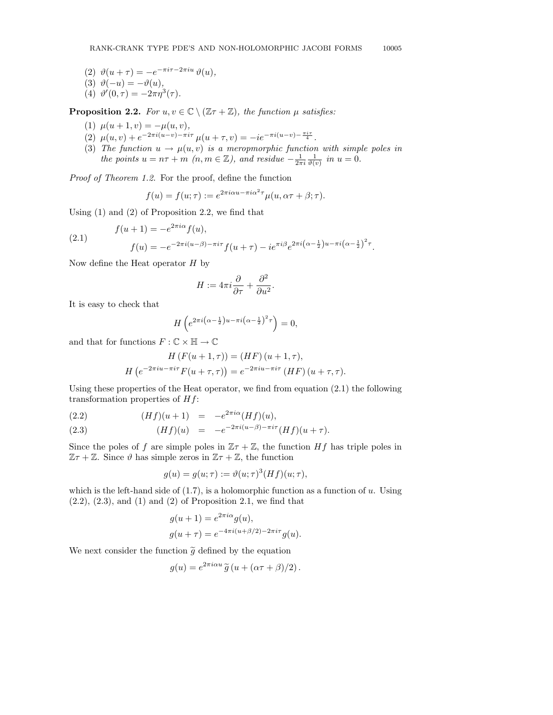(2)  $\vartheta(u+\tau) = -e^{-\pi i \tau - 2\pi i u} \vartheta(u),$ 

$$
(3) \ \ \vartheta(-u) = -\vartheta(u),
$$

(4)  $\vartheta'(0, \tau) = -2\pi \eta^3(\tau)$ .

**Proposition 2.2.** For  $u, v \in \mathbb{C} \setminus (\mathbb{Z}\tau + \mathbb{Z})$ , the function  $\mu$  satisfies:

- (1)  $\mu(u+1, v) = -\mu(u, v),$
- (2)  $\mu(u, v) + e^{-2\pi i (u-v) \pi i \tau} \mu(u + \tau, v) = -ie^{-\pi i (u-v) \frac{\pi i \tau}{4}}$ .
- (3) The function  $u \to \mu(u, v)$  is a meropmorphic function with simple poles in the points  $u = n\tau + m \ (n, m \in \mathbb{Z})$ , and residue  $-\frac{1}{2\pi i} \frac{1}{\vartheta(v)}$  in  $u = 0$ .

Proof of Theorem 1.2. For the proof, define the function

$$
f(u) = f(u; \tau) := e^{2\pi i \alpha u - \pi i \alpha^2 \tau} \mu(u, \alpha \tau + \beta; \tau).
$$

Using (1) and (2) of Proposition 2.2, we find that

$$
f(u + 1) = -e^{2\pi i \alpha} f(u),
$$
  
\n
$$
f(u) = -e^{-2\pi i (u - \beta) - \pi i \tau} f(u + \tau) - i e^{\pi i \beta} e^{2\pi i (\alpha - \frac{1}{2})u - \pi i (\alpha - \frac{1}{2})^2 \tau}.
$$

Now define the Heat operator  $H$  by

$$
H:=4\pi i\frac{\partial}{\partial\tau}+\frac{\partial^2}{\partial u^2}.
$$

It is easy to check that

(2.1)

$$
H\left(e^{2\pi i\left(\alpha-\frac{1}{2}\right)u-\pi i\left(\alpha-\frac{1}{2}\right)^2\tau}\right)=0,
$$

and that for functions  $F:\mathbb{C}\times\mathbb{H}\rightarrow\mathbb{C}$ 

$$
H\left(F(u+1,\tau)\right) = (HF)\left(u+1,\tau\right),
$$

$$
H\left(e^{-2\pi iu-\pi i\tau}F(u+\tau,\tau)\right) = e^{-2\pi iu-\pi i\tau}\left(HF\right)(u+\tau,\tau).
$$

Using these properties of the Heat operator, we find from equation  $(2.1)$  the following transformation properties of  $Hf$ :

(2.2) 
$$
(Hf)(u+1) = -e^{2\pi i \alpha} (Hf)(u),
$$

(2.3) 
$$
(Hf)(u) = -e^{-2\pi i(u-\beta) - \pi i\tau} (Hf)(u+\tau).
$$

Since the poles of f are simple poles in  $\mathbb{Z}\tau + \mathbb{Z}$ , the function Hf has triple poles in  $\mathbb{Z}\tau + \mathbb{Z}$ . Since  $\vartheta$  has simple zeros in  $\mathbb{Z}\tau + \mathbb{Z}$ , the function

$$
g(u) = g(u; \tau) := \vartheta(u; \tau)^3 (Hf)(u; \tau),
$$

which is the left-hand side of  $(1.7)$ , is a holomorphic function as a function of u. Using  $(2.2)$ ,  $(2.3)$ , and  $(1)$  and  $(2)$  of Proposition 2.1, we find that

$$
g(u + 1) = e^{2\pi i \alpha} g(u),
$$
  

$$
g(u + \tau) = e^{-4\pi i (u + \beta/2) - 2\pi i \tau} g(u).
$$

We next consider the function  $\tilde{g}$  defined by the equation

$$
g(u) = e^{2\pi i \alpha u} \widetilde{g} (u + (\alpha \tau + \beta)/2).
$$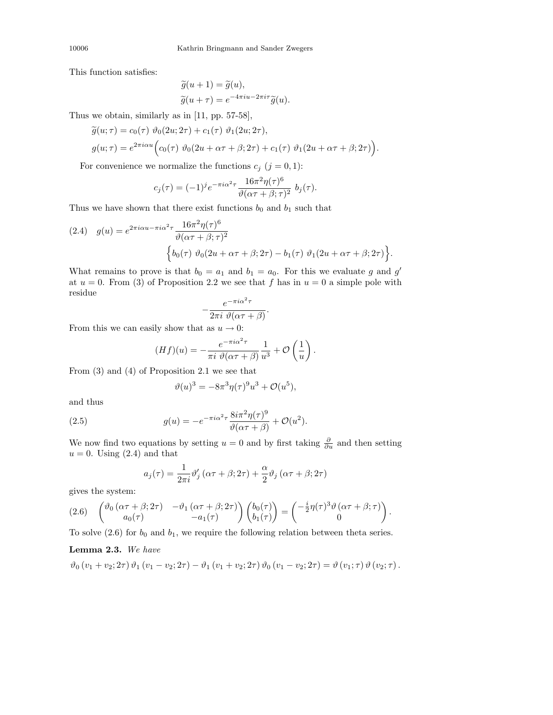This function satisfies:

$$
\widetilde{g}(u+1) = \widetilde{g}(u), \n\widetilde{g}(u+\tau) = e^{-4\pi iu - 2\pi i\tau} \widetilde{g}(u).
$$

Thus we obtain, similarly as in [11, pp. 57-58],

$$
\widetilde{g}(u;\tau) = c_0(\tau) \ \vartheta_0(2u; 2\tau) + c_1(\tau) \ \vartheta_1(2u; 2\tau),
$$
  

$$
g(u;\tau) = e^{2\pi i \alpha u} \Big( c_0(\tau) \ \vartheta_0(2u + \alpha \tau + \beta; 2\tau) + c_1(\tau) \ \vartheta_1(2u + \alpha \tau + \beta; 2\tau) \Big).
$$

For convenience we normalize the functions  $c_j$   $(j = 0, 1)$ :

$$
c_j(\tau) = (-1)^j e^{-\pi i \alpha^2 \tau} \frac{16\pi^2 \eta(\tau)^6}{\vartheta(\alpha \tau + \beta; \tau)^2} b_j(\tau).
$$

Thus we have shown that there exist functions  $b_0$  and  $b_1$  such that

(2.4) 
$$
g(u) = e^{2\pi i \alpha u - \pi i \alpha^2 \tau} \frac{16\pi^2 \eta(\tau)^6}{\vartheta(\alpha \tau + \beta; \tau)^2} \left\{ b_0(\tau) \vartheta_0(2u + \alpha \tau + \beta; 2\tau) - b_1(\tau) \vartheta_1(2u + \alpha \tau + \beta; 2\tau) \right\}.
$$

What remains to prove is that  $b_0 = a_1$  and  $b_1 = a_0$ . For this we evaluate g and g' at  $u = 0$ . From (3) of Proposition 2.2 we see that f has in  $u = 0$  a simple pole with residue

$$
-\frac{e^{-\pi i \alpha^2 \tau}}{2\pi i \ \vartheta(\alpha \tau+\beta)}.
$$

From this we can easily show that as  $u \to 0$ :

$$
(Hf)(u) = -\frac{e^{-\pi i \alpha^2 \tau}}{\pi i \ \vartheta(\alpha \tau + \beta)} \frac{1}{u^3} + \mathcal{O}\left(\frac{1}{u}\right).
$$

From (3) and (4) of Proposition 2.1 we see that

$$
\vartheta(u)^3 = -8\pi^3 \eta(\tau)^9 u^3 + \mathcal{O}(u^5),
$$

and thus

(2.5) 
$$
g(u) = -e^{-\pi i \alpha^2 \tau} \frac{8i\pi^2 \eta(\tau)^9}{\vartheta(\alpha \tau + \beta)} + \mathcal{O}(u^2).
$$

We now find two equations by setting  $u = 0$  and by first taking  $\frac{\partial}{\partial u}$  and then setting  $u = 0$ . Using  $(2.4)$  and that

$$
a_j(\tau) = \frac{1}{2\pi i} \vartheta'_j \left( \alpha \tau + \beta; 2\tau \right) + \frac{\alpha}{2} \vartheta_j \left( \alpha \tau + \beta; 2\tau \right)
$$

gives the system:

$$
(2.6)\quad \begin{pmatrix} \vartheta_0(\alpha\tau+\beta;2\tau) & -\vartheta_1(\alpha\tau+\beta;2\tau) \\ a_0(\tau) & -a_1(\tau) \end{pmatrix} \begin{pmatrix} b_0(\tau) \\ b_1(\tau) \end{pmatrix} = \begin{pmatrix} -\frac{i}{2}\eta(\tau)^3\vartheta(\alpha\tau+\beta;\tau) \\ 0 \end{pmatrix}.
$$

To solve  $(2.6)$  for  $b_0$  and  $b_1$ , we require the following relation between theta series.

## Lemma 2.3. We have

$$
\vartheta_0 \left( v_1 + v_2; 2\tau \right) \vartheta_1 \left( v_1 - v_2; 2\tau \right) - \vartheta_1 \left( v_1 + v_2; 2\tau \right) \vartheta_0 \left( v_1 - v_2; 2\tau \right) = \vartheta \left( v_1; \tau \right) \vartheta \left( v_2; \tau \right).
$$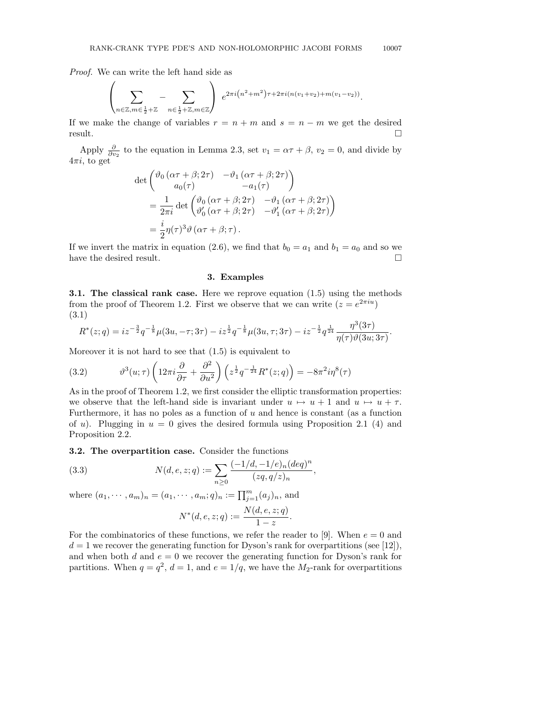Proof. We can write the left hand side as

$$
\left(\sum_{n\in\mathbb{Z},m\in\frac{1}{2}+\mathbb{Z}}-\sum_{n\in\frac{1}{2}+\mathbb{Z},m\in\mathbb{Z}}\right)e^{2\pi i\left(n^2+m^2\right)\tau+2\pi i(n(v_1+v_2)+m(v_1-v_2))}.
$$

If we make the change of variables  $r = n + m$  and  $s = n - m$  we get the desired  $r$ esult.

Apply  $\frac{\partial}{\partial v_2}$  to the equation in Lemma 2.3, set  $v_1 = \alpha \tau + \beta$ ,  $v_2 = 0$ , and divide by  $4\pi i$ , to get

$$
\det \begin{pmatrix} \vartheta_0 \left( \alpha \tau + \beta; 2\tau \right) & -\vartheta_1 \left( \alpha \tau + \beta; 2\tau \right) \\ a_0(\tau) & -a_1(\tau) \end{pmatrix}
$$
  
= 
$$
\frac{1}{2\pi i} \det \begin{pmatrix} \vartheta_0 \left( \alpha \tau + \beta; 2\tau \right) & -\vartheta_1 \left( \alpha \tau + \beta; 2\tau \right) \\ \vartheta'_0 \left( \alpha \tau + \beta; 2\tau \right) & -\vartheta'_1 \left( \alpha \tau + \beta; 2\tau \right) \end{pmatrix}
$$
  
= 
$$
\frac{i}{2} \eta(\tau)^3 \vartheta \left( \alpha \tau + \beta; \tau \right).
$$

If we invert the matrix in equation (2.6), we find that  $b_0 = a_1$  and  $b_1 = a_0$  and so we have the desired result.  $\Box$ 

## 3. Examples

3.1. The classical rank case. Here we reprove equation (1.5) using the methods from the proof of Theorem 1.2. First we observe that we can write  $(z = e^{2\pi i u})$ (3.1)

$$
R^*(z;q) = iz^{-\frac{3}{2}}q^{-\frac{1}{8}}\mu(3u,-\tau;3\tau) - iz^{\frac{1}{2}}q^{-\frac{1}{8}}\mu(3u,\tau;3\tau) - iz^{-\frac{1}{2}}q^{\frac{1}{24}}\frac{\eta^3(3\tau)}{\eta(\tau)\vartheta(3u;3\tau)}.
$$

Moreover it is not hard to see that (1.5) is equivalent to

(3.2) 
$$
\vartheta^3(u;\tau)\left(12\pi i \frac{\partial}{\partial \tau} + \frac{\partial^2}{\partial u^2}\right)\left(z^{\frac{1}{2}}q^{-\frac{1}{24}}R^*(z;q)\right) = -8\pi^2 i\eta^8(\tau)
$$

As in the proof of Theorem 1.2, we first consider the elliptic transformation properties: we observe that the left-hand side is invariant under  $u \mapsto u + 1$  and  $u \mapsto u + \tau$ . Furthermore, it has no poles as a function of  $u$  and hence is constant (as a function of u). Plugging in  $u = 0$  gives the desired formula using Proposition 2.1 (4) and Proposition 2.2.

#### 3.2. The overpartition case. Consider the functions

(3.3) 
$$
N(d, e, z; q) := \sum_{n \geq 0} \frac{(-1/d, -1/e)_n (deq)^n}{(zq, q/z)_n}
$$

where  $(a_1, \dots, a_m)_n = (a_1, \dots, a_m; q)_n := \prod_{j=1}^m (a_j)_n$ , and

$$
N^*(d, e, z; q) := \frac{N(d, e, z; q)}{1 - z}.
$$

,

For the combinatorics of these functions, we refer the reader to [9]. When  $e = 0$  and  $d = 1$  we recover the generating function for Dyson's rank for overpartitions (see [12]), and when both d and  $e = 0$  we recover the generating function for Dyson's rank for partitions. When  $q = q^2$ ,  $d = 1$ , and  $e = 1/q$ , we have the  $M_2$ -rank for overpartitions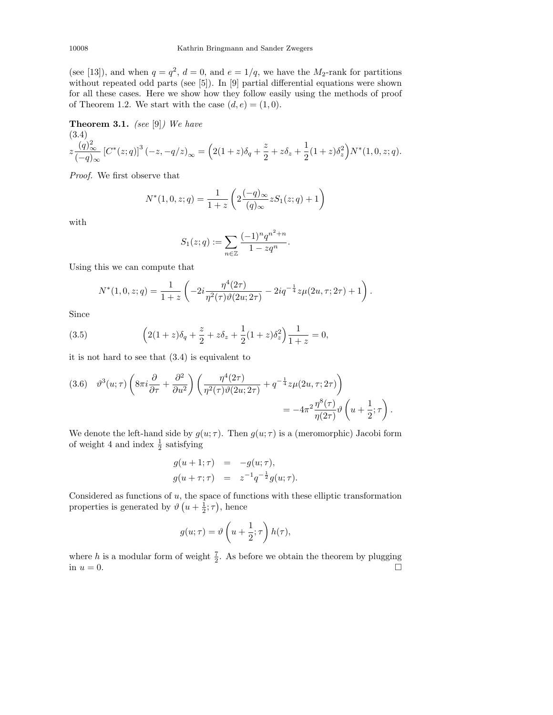(see [13]), and when  $q = q^2$ ,  $d = 0$ , and  $e = 1/q$ , we have the  $M_2$ -rank for partitions without repeated odd parts (see [5]). In [9] partial differential equations were shown for all these cases. Here we show how they follow easily using the methods of proof of Theorem 1.2. We start with the case  $(d, e) = (1, 0)$ .

**Theorem 3.1.** (see [9]) We have

$$
(3.4)
$$
  

$$
z \frac{(q)_{\infty}^2}{(-q)_{\infty}} \left[C^*(z;q)\right]^3 (-z,-q/z)_{\infty} = \left(2(1+z)\delta_q + \frac{z}{2} + z\delta_z + \frac{1}{2}(1+z)\delta_z^2\right)N^*(1,0,z;q).
$$

Proof. We first observe that

$$
N^*(1,0,z;q) = \frac{1}{1+z} \left( 2 \frac{(-q)_{\infty}}{(q)_{\infty}} z S_1(z;q) + 1 \right)
$$

with

$$
S_1(z;q) := \sum_{n \in \mathbb{Z}} \frac{(-1)^n q^{n^2 + n}}{1 - zq^n}.
$$

Using this we can compute that

$$
N^*(1,0,z;q) = \frac{1}{1+z} \left( -2i \frac{\eta^4 (2\tau)}{\eta^2(\tau) \vartheta(2u;2\tau)} - 2iq^{-\frac{1}{4}} z \mu(2u,\tau;2\tau) + 1 \right).
$$

Since

(3.5) 
$$
\left(2(1+z)\delta_q + \frac{z}{2} + z\delta_z + \frac{1}{2}(1+z)\delta_z^2\right)\frac{1}{1+z} = 0,
$$

it is not hard to see that (3.4) is equivalent to

$$
(3.6) \quad \vartheta^3(u;\tau) \left(8\pi i \frac{\partial}{\partial \tau} + \frac{\partial^2}{\partial u^2} \right) \left( \frac{\eta^4(2\tau)}{\eta^2(\tau)\vartheta(2u;2\tau)} + q^{-\frac{1}{4}} z \mu(2u,\tau;2\tau) \right) = -4\pi^2 \frac{\eta^8(\tau)}{\eta(2\tau)} \vartheta \left( u + \frac{1}{2};\tau \right).
$$

We denote the left-hand side by  $g(u; \tau)$ . Then  $g(u; \tau)$  is a (meromorphic) Jacobi form of weight 4 and index  $\frac{1}{2}$  satisfying

$$
g(u + 1; \tau) = -g(u; \tau),
$$
  
\n
$$
g(u + \tau; \tau) = z^{-1} q^{-\frac{1}{2}} g(u; \tau).
$$

Considered as functions of  $u$ , the space of functions with these elliptic transformation properties is generated by  $\vartheta\left(u+\frac{1}{2};\tau\right)$ , hence

$$
g(u;\tau) = \vartheta\left(u + \frac{1}{2};\tau\right)h(\tau),
$$

where h is a modular form of weight  $\frac{7}{2}$ . As before we obtain the theorem by plugging in  $u = 0$ .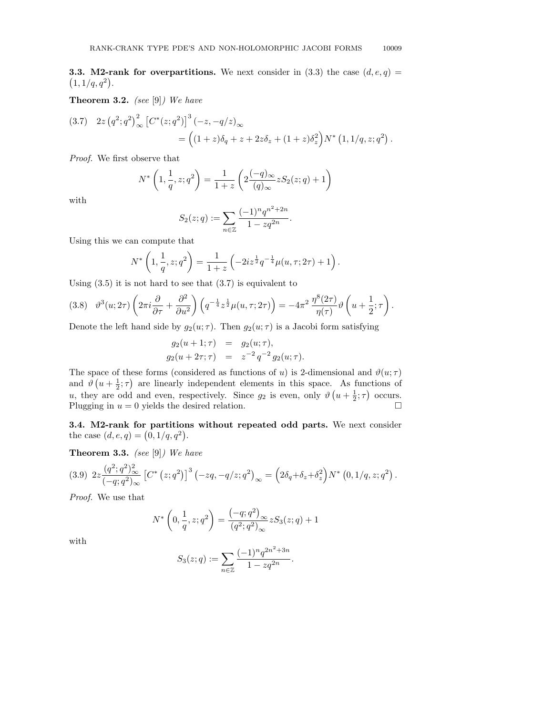**3.3. M2-rank for overpartitions.** We next consider in (3.3) the case  $(d, e, q)$  =  $(1, 1/q, q^2).$ 

**Theorem 3.2.** (see  $[9]$ ) We have

$$
(3.7) \quad 2z \left(q^2; q^2\right)^2_{\infty} \left[C^*(z; q^2)\right]^3 \left(-z, -q/z\right)_{\infty}
$$
  
=  $\left((1+z)\delta_q + z + 2z\delta_z + (1+z)\delta_z^2\right)N^*\left(1, 1/q, z; q^2\right).$ 

Proof. We first observe that

$$
N^* \left( 1, \frac{1}{q}, z; q^2 \right) = \frac{1}{1+z} \left( 2 \frac{(-q)_{\infty}}{(q)_{\infty}} z S_2(z; q) + 1 \right)
$$

with

$$
S_2(z;q) := \sum_{n \in \mathbb{Z}} \frac{(-1)^n q^{n^2 + 2n}}{1 - z q^{2n}}.
$$

Using this we can compute that

$$
N^* \left( 1, \frac{1}{q}, z; q^2 \right) = \frac{1}{1+z} \left( -2iz^{\frac{1}{2}} q^{-\frac{1}{4}} \mu(u, \tau; 2\tau) + 1 \right).
$$

Using  $(3.5)$  it is not hard to see that  $(3.7)$  is equivalent to

$$
(3.8) \quad \vartheta^3(u; 2\tau) \left(2\pi i \frac{\partial}{\partial \tau} + \frac{\partial^2}{\partial u^2}\right) \left(q^{-\frac{1}{4}} z^{\frac{1}{2}} \mu(u, \tau; 2\tau)\right) = -4\pi^2 \frac{\eta^8(2\tau)}{\eta(\tau)} \vartheta\left(u + \frac{1}{2}; \tau\right).
$$

Denote the left hand side by  $g_2(u; \tau)$ . Then  $g_2(u; \tau)$  is a Jacobi form satisfying

$$
g_2(u + 1; \tau) = g_2(u; \tau),
$$
  
\n
$$
g_2(u + 2\tau; \tau) = z^{-2} q^{-2} g_2(u; \tau).
$$

The space of these forms (considered as functions of u) is 2-dimensional and  $\vartheta(u;\tau)$ and  $\vartheta\left(u+\frac{1}{2};\tau\right)$  are linearly independent elements in this space. As functions of u, they are odd and even, respectively. Since  $g_2$  is even, only  $\vartheta\left(u+\frac{1}{2};\tau\right)$  occurs. Plugging in  $u = 0$  yields the desired relation.

3.4. M2-rank for partitions without repeated odd parts. We next consider the case  $(d, e, q) = (0, 1/q, q^2)$ .

**Theorem 3.3.** (see  $[9]$ ) We have

$$
(3.9) \ 2z \frac{(q^2;q^2)_{\infty}^2}{(-q;q^2)_{\infty}} \left[ C^* \left( z;q^2 \right) \right]^3 \left( -zq,-q/z;q^2 \right)_{\infty} = \left( 2\delta_q + \delta_z + \delta_z^2 \right) N^* \left( 0,1/q,z;q^2 \right).
$$

Proof. We use that

$$
N^* \left(0, \frac{1}{q}, z; q^2\right) = \frac{\left(-q; q^2\right)_{\infty}}{\left(q^2; q^2\right)_{\infty}} z S_3(z; q) + 1
$$

with

$$
S_3(z;q) := \sum_{n \in \mathbb{Z}} \frac{(-1)^n q^{2n^2 + 3n}}{1 - zq^{2n}}.
$$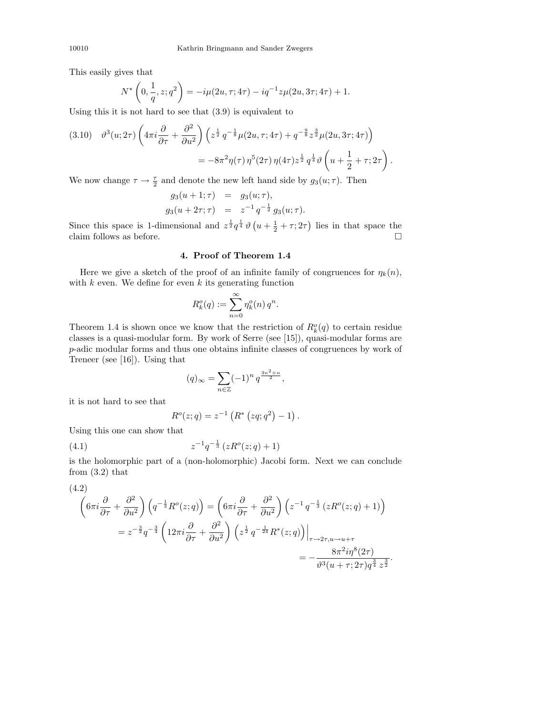This easily gives that

$$
N^*\left(0, \frac{1}{q}, z; q^2\right) = -i\mu(2u, \tau; 4\tau) - iq^{-1}z\mu(2u, 3\tau; 4\tau) + 1.
$$

Using this it is not hard to see that (3.9) is equivalent to

$$
(3.10) \quad \vartheta^{3}(u; 2\tau) \left( 4\pi i \frac{\partial}{\partial \tau} + \frac{\partial^{2}}{\partial u^{2}} \right) \left( z^{\frac{1}{2}} q^{-\frac{1}{8}} \mu(2u, \tau; 4\tau) + q^{-\frac{9}{8}} z^{\frac{3}{2}} \mu(2u, 3\tau; 4\tau) \right) = -8\pi^{2} \eta(\tau) \eta^{5}(2\tau) \eta(4\tau) z^{\frac{1}{2}} q^{\frac{1}{4}} \vartheta \left( u + \frac{1}{2} + \tau; 2\tau \right).
$$

We now change  $\tau \to \frac{\tau}{2}$  and denote the new left hand side by  $g_3(u; \tau)$ . Then

$$
g_3(u + 1; \tau) = g_3(u; \tau),
$$
  
\n
$$
g_3(u + 2\tau; \tau) = z^{-1} q^{-\frac{1}{2}} g_3(u; \tau).
$$

Since this space is 1-dimensional and  $z^{\frac{1}{2}}q^{\frac{1}{4}}\vartheta\left(u+\frac{1}{2}+\tau;2\tau\right)$  lies in that space the claim follows as before.  $\Box$ 

## 4. Proof of Theorem 1.4

Here we give a sketch of the proof of an infinite family of congruences for  $\eta_k(n)$ , with  $k$  even. We define for even  $k$  its generating function

$$
R_k^o(q) := \sum_{n=0}^{\infty} \eta_k^o(n) q^n.
$$

Theorem 1.4 is shown once we know that the restriction of  $R_k^o(q)$  to certain residue classes is a quasi-modular form. By work of Serre (see [15]), quasi-modular forms are p-adic modular forms and thus one obtains infinite classes of congruences by work of Treneer (see [16]). Using that

$$
(q)_{\infty} = \sum_{n \in \mathbb{Z}} (-1)^n q^{\frac{3n^2 + n}{2}},
$$

it is not hard to see that

$$
R^{o}(z;q) = z^{-1} \left( R^{*} (zq;q^{2}) - 1 \right).
$$

Using this one can show that

(4.1) 
$$
z^{-1}q^{-\frac{1}{3}}(zR^o(z;q)+1)
$$

is the holomorphic part of a (non-holomorphic) Jacobi form. Next we can conclude from  $(3.2)$  that

$$
(4.2)
$$
\n
$$
\left(6\pi i \frac{\partial}{\partial \tau} + \frac{\partial^2}{\partial u^2}\right) \left(q^{-\frac{1}{3}} R^o(z;q)\right) = \left(6\pi i \frac{\partial}{\partial \tau} + \frac{\partial^2}{\partial u^2}\right) \left(z^{-1} q^{-\frac{1}{3}} \left(z R^o(z;q) + 1\right)\right)
$$
\n
$$
= z^{-\frac{3}{2}} q^{-\frac{3}{4}} \left(12\pi i \frac{\partial}{\partial \tau} + \frac{\partial^2}{\partial u^2}\right) \left(z^{\frac{1}{2}} q^{-\frac{1}{24}} R^*(z;q)\right)\Big|_{\tau \to 2\tau, u \to u+\tau}
$$
\n
$$
= -\frac{8\pi^2 i \eta^8 (2\tau)}{\vartheta^3 (u + \tau; 2\tau) q^{\frac{3}{4}} z^{\frac{3}{2}}}
$$

.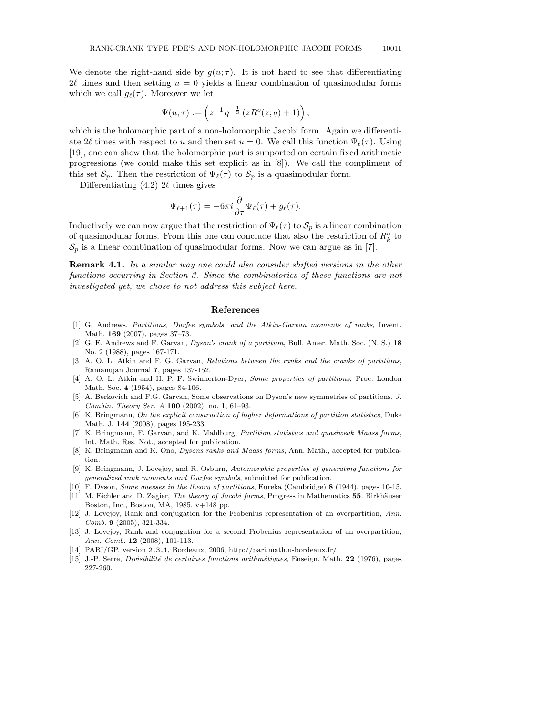We denote the right-hand side by  $g(u; \tau)$ . It is not hard to see that differentiating  $2\ell$  times and then setting  $u = 0$  yields a linear combination of quasimodular forms which we call  $g_{\ell}(\tau)$ . Moreover we let

$$
\Psi(u;\tau):=\left(z^{-1}\,q^{-\frac{1}{3}}\left(zR^o(z;q)+1\right)\right),
$$

which is the holomorphic part of a non-holomorphic Jacobi form. Again we differentiate 2 $\ell$  times with respect to u and then set  $u = 0$ . We call this function  $\Psi_{\ell}(\tau)$ . Using [19], one can show that the holomorphic part is supported on certain fixed arithmetic progressions (we could make this set explicit as in [8]). We call the compliment of this set  $\mathcal{S}_p$ . Then the restriction of  $\Psi_\ell(\tau)$  to  $\mathcal{S}_p$  is a quasimodular form.

Differentiating  $(4.2)$  2 $\ell$  times gives

$$
\Psi_{\ell+1}(\tau) = -6\pi i \frac{\partial}{\partial \tau} \Psi_{\ell}(\tau) + g_{\ell}(\tau).
$$

Inductively we can now argue that the restriction of  $\Psi_\ell(\tau)$  to  $\mathcal{S}_n$  is a linear combination of quasimodular forms. From this one can conclude that also the restriction of  $R_k^o$  to  $\mathcal{S}_p$  is a linear combination of quasimodular forms. Now we can argue as in [7].

Remark 4.1. In a similar way one could also consider shifted versions in the other functions occurring in Section 3. Since the combinatorics of these functions are not investigated yet, we chose to not address this subject here.

### References

- [1] G. Andrews, Partitions, Durfee symbols, and the Atkin-Garvan moments of ranks, Invent. Math. 169 (2007), pages 37–73.
- [2] G. E. Andrews and F. Garvan, Dyson's crank of a partition, Bull. Amer. Math. Soc. (N. S.) 18 No. 2 (1988), pages 167-171.
- [3] A. O. L. Atkin and F. G. Garvan, Relations between the ranks and the cranks of partitions, Ramanujan Journal 7, pages 137-152.
- [4] A. O. L. Atkin and H. P. F. Swinnerton-Dyer, Some properties of partitions, Proc. London Math. Soc. 4 (1954), pages 84-106.
- [5] A. Berkovich and F.G. Garvan, Some observations on Dyson's new symmetries of partitions, J. Combin. Theory Ser. A 100 (2002), no. 1, 61–93.
- [6] K. Bringmann, On the explicit construction of higher deformations of partition statistics, Duke Math. J. 144 (2008), pages 195-233.
- [7] K. Bringmann, F. Garvan, and K. Mahlburg, Partition statistics and quasiweak Maass forms, Int. Math. Res. Not., accepted for publication.
- [8] K. Bringmann and K. Ono, *Dysons ranks and Maass forms*, Ann. Math., accepted for publication.
- [9] K. Bringmann, J. Lovejoy, and R. Osburn, Automorphic properties of generating functions for generalized rank moments and Durfee symbols, submitted for publication.
- [10] F. Dyson, Some guesses in the theory of partitions, Eureka (Cambridge) 8 (1944), pages 10-15.
- [11] M. Eichler and D. Zagier, The theory of Jacobi forms, Progress in Mathematics 55. Birkhäuser Boston, Inc., Boston, MA, 1985. v+148 pp.
- [12] J. Lovejoy, Rank and conjugation for the Frobenius representation of an overpartition, Ann. Comb. 9 (2005), 321-334.
- [13] J. Lovejoy, Rank and conjugation for a second Frobenius representation of an overpartition, Ann. Comb. 12 (2008), 101-113.
- [14] PARI/GP, version 2.3.1, Bordeaux, 2006, http://pari.math.u-bordeaux.fr/.
- [15] J.-P. Serre, *Divisibilité de certaines fonctions arithmétiques*, Enseign. Math. 22 (1976), pages 227-260.